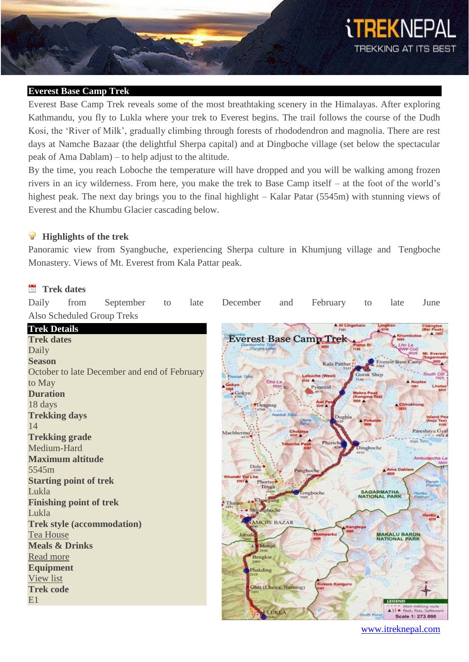

#### **Everest Base Camp Trek**

Everest Base Camp Trek reveals some of the most breathtaking scenery in the Himalayas. After exploring Kathmandu, you fly to Lukla where your trek to Everest begins. The trail follows the course of the Dudh Kosi, the 'River of Milk', gradually climbing through forests of rhododendron and magnolia. There are rest days at Namche Bazaar (the delightful Sherpa capital) and at Dingboche village (set below the spectacular peak of Ama Dablam) – to help adjust to the altitude.

By the time, you reach Loboche the temperature will have dropped and you will be walking among frozen rivers in an icy wilderness. From here, you make the trek to Base Camp itself – at the foot of the world's highest peak. The next day brings you to the final highlight – Kalar Patar (5545m) with stunning views of Everest and the Khumbu Glacier cascading below.

#### $\mathbf{P}$ **Highlights of the trek**

Panoramic view from Syangbuche, experiencing Sherpa culture in Khumjung village and Tengboche Monastery. Views of Mt. Everest from Kala Pattar peak.

#### **Trek dates**

| Daily                     | from                           | September                                    | to | late | December                            | and                   | February                        | to                                        | late                                        | June                                         |
|---------------------------|--------------------------------|----------------------------------------------|----|------|-------------------------------------|-----------------------|---------------------------------|-------------------------------------------|---------------------------------------------|----------------------------------------------|
|                           |                                | Also Scheduled Group Treks                   |    |      |                                     |                       |                                 |                                           |                                             |                                              |
| <b>Trek Details</b>       |                                |                                              |    |      |                                     |                       | <b>A Xi Lingehain</b><br>7101   | 5749                                      | Lingtren                                    | Changtse<br>(Bei Peak)<br>A 2553             |
| <b>Trek dates</b>         |                                |                                              |    |      |                                     |                       | <b>Everest Base Camp Trek</b>   |                                           | Khumbutse<br>6885                           |                                              |
| Daily                     |                                |                                              |    |      | (Gyupa Lake                         |                       |                                 | Pumo Ri<br>7165                           | Lho La<br>(NW Col)                          | 6026<br><b>Mt. Everest</b>                   |
| <b>Season</b>             |                                |                                              |    |      |                                     |                       | Kala Patthar                    |                                           | <b>Everest Base Camp</b>                    | (Sagarmath                                   |
|                           |                                | October to late December and end of February |    |      | Thonak Taho                         |                       | Lobuche (West)                  | Gorak Shep                                |                                             | South Col                                    |
| to May                    |                                |                                              |    |      | Gokyo                               | Cho La<br>5330        | <b>STAS A</b><br><b>Pyramid</b> |                                           |                                             | 7925<br>A Nuptse<br>7361<br>Lhotse           |
| <b>Duration</b>           |                                |                                              |    |      | $-$ Gokyo                           |                       |                                 | <b>Mehra Peak</b><br>(Kongma Tse)         |                                             | 8414                                         |
| 18 days                   |                                |                                              |    |      | <i><b>*Dragnag</b></i><br>14700     |                       | Awi P<br>5245                   | 1220 A                                    | Chhukhung                                   |                                              |
| <b>Trekking days</b>      |                                |                                              |    |      |                                     | Naktok Tsho           | Dughla<br>Chola                 | <b>A</b> Pokaide                          |                                             | <b>Island Per</b><br>(Imja Tse)              |
| 14                        |                                |                                              |    |      |                                     | Cholatse              | Tisho.                          |                                           |                                             | 6585<br>Pareshaya Gya                        |
| <b>Trekking grade</b>     |                                |                                              |    |      | Machhermo's<br>8-876                | 6335 %                | Pheriche                        |                                           |                                             | $-1270$<br>Imja Tsho                         |
| Medium-Hard               |                                |                                              |    |      |                                     | <b>Taboche Peak</b>   |                                 | Dingboche<br>6410                         |                                             |                                              |
|                           | <b>Maximum altitude</b>        |                                              |    |      |                                     |                       |                                 |                                           |                                             | Ambulapcha La                                |
| 5545m                     |                                |                                              |    |      | Dole <sup>1</sup><br>Khumbi Yul Lha |                       | Pangboche                       |                                           | Ama Dablam                                  |                                              |
|                           | <b>Starting point of trek</b>  |                                              |    |      | 5454.7<br>Phortse.<br>Tenga         |                       |                                 |                                           |                                             | Panch<br>Pokhari                             |
| Lukla                     |                                |                                              |    |      |                                     |                       | engboche                        | <b>SAGARMATHA</b><br><b>NATIONAL PARK</b> |                                             | Hunku<br>Pokhart <sub></sub>                 |
|                           | <b>Finishing point of trek</b> |                                              |    |      | <b>4. Khumjung</b><br>Thamo         |                       |                                 |                                           |                                             |                                              |
| Lukla                     |                                |                                              |    |      | · Shyangboche                       |                       |                                 |                                           |                                             | Hunku<br>6559                                |
|                           |                                | <b>Trek style (accommodation)</b>            |    |      |                                     | <b>NAMCHE BAZAR</b>   |                                 | Kangtega                                  |                                             |                                              |
| <b>Tea House</b>          |                                |                                              |    |      | Jorsal                              |                       | <b>Thamserku</b>                |                                           | <b>MAKALU BARUN</b><br><b>NATIONAL PARK</b> |                                              |
| <b>Meals &amp; Drinks</b> |                                |                                              |    |      | Monjo                               |                       |                                 |                                           |                                             |                                              |
| Read more                 |                                |                                              |    |      | Bengkar<br><b>DRIVE</b>             |                       |                                 |                                           |                                             |                                              |
| <b>Equipment</b>          |                                |                                              |    |      | Phakding                            |                       |                                 |                                           |                                             |                                              |
| View list                 |                                |                                              |    |      |                                     |                       | <b>Kusum Kanguru</b>            |                                           |                                             |                                              |
| <b>Trek code</b>          |                                |                                              |    |      |                                     | Ghat (Lhawa, Nurning) |                                 |                                           |                                             |                                              |
| E1                        |                                |                                              |    |      |                                     |                       |                                 |                                           | LEGEND                                      | Main trekking route                          |
|                           |                                |                                              |    |      |                                     | <b>LUKLA</b>          |                                 | Dudn Kund                                 |                                             | · Peak, Pass, Settlement<br>Scale 1: 273 000 |
|                           |                                |                                              |    |      |                                     |                       |                                 |                                           |                                             |                                              |

www.itreknepal.com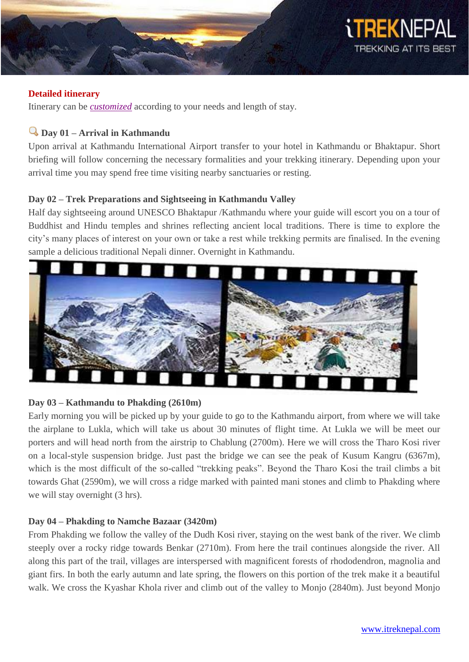

#### **Detailed itinerary**

Itinerary can be *[customized](http://itreknepal.com/customized-trekking.php)* according to your needs and length of stay.

# **Day 01 – Arrival in Kathmandu**

Upon arrival at Kathmandu International Airport transfer to your hotel in Kathmandu or Bhaktapur. Short briefing will follow concerning the necessary formalities and your trekking itinerary. Depending upon your arrival time you may spend free time visiting nearby sanctuaries or resting.

# **Day 02 – Trek Preparations and Sightseeing in Kathmandu Valley**

Half day sightseeing around UNESCO Bhaktapur /Kathmandu where your guide will escort you on a tour of Buddhist and Hindu temples and shrines reflecting ancient local traditions. There is time to explore the city's many places of interest on your own or take a rest while trekking permits are finalised. In the evening sample a delicious traditional Nepali dinner. Overnight in Kathmandu.



# **Day 03 – Kathmandu to Phakding (2610m)**

Early morning you will be picked up by your guide to go to the Kathmandu airport, from where we will take the airplane to Lukla, which will take us about 30 minutes of flight time. At Lukla we will be meet our porters and will head north from the airstrip to Chablung (2700m). Here we will cross the Tharo Kosi river on a local-style suspension bridge. Just past the bridge we can see the peak of Kusum Kangru (6367m), which is the most difficult of the so-called "trekking peaks". Beyond the Tharo Kosi the trail climbs a bit towards Ghat (2590m), we will cross a ridge marked with painted mani stones and climb to Phakding where we will stay overnight  $(3 \text{ hrs})$ .

# **Day 04 – Phakding to Namche Bazaar (3420m)**

From Phakding we follow the valley of the Dudh Kosi river, staying on the west bank of the river. We climb steeply over a rocky ridge towards Benkar (2710m). From here the trail continues alongside the river. All along this part of the trail, villages are interspersed with magnificent forests of rhododendron, magnolia and giant firs. In both the early autumn and late spring, the flowers on this portion of the trek make it a beautiful walk. We cross the Kyashar Khola river and climb out of the valley to Monjo (2840m). Just beyond Monjo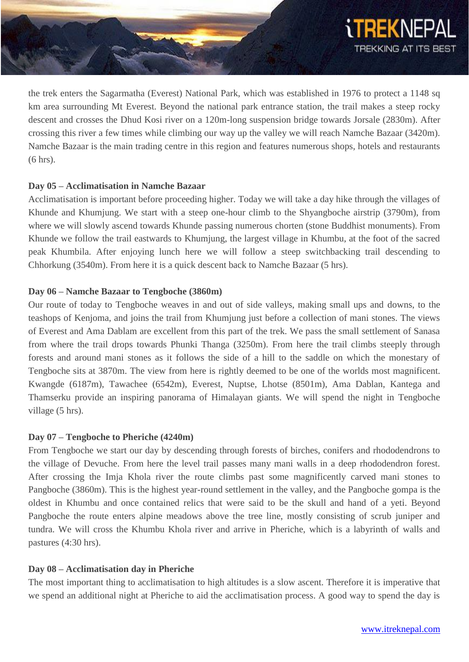

the trek enters the Sagarmatha (Everest) National Park, which was established in 1976 to protect a 1148 sq km area surrounding Mt Everest. Beyond the national park entrance station, the trail makes a steep rocky descent and crosses the Dhud Kosi river on a 120m-long suspension bridge towards Jorsale (2830m). After crossing this river a few times while climbing our way up the valley we will reach Namche Bazaar (3420m). Namche Bazaar is the main trading centre in this region and features numerous shops, hotels and restaurants (6 hrs).

# **Day 05 – Acclimatisation in Namche Bazaar**

Acclimatisation is important before proceeding higher. Today we will take a day hike through the villages of Khunde and Khumjung. We start with a steep one-hour climb to the Shyangboche airstrip (3790m), from where we will slowly ascend towards Khunde passing numerous chorten (stone Buddhist monuments). From Khunde we follow the trail eastwards to Khumjung, the largest village in Khumbu, at the foot of the sacred peak Khumbila. After enjoying lunch here we will follow a steep switchbacking trail descending to Chhorkung (3540m). From here it is a quick descent back to Namche Bazaar (5 hrs).

#### **Day 06 – Namche Bazaar to Tengboche (3860m)**

Our route of today to Tengboche weaves in and out of side valleys, making small ups and downs, to the teashops of Kenjoma, and joins the trail from Khumjung just before a collection of mani stones. The views of Everest and Ama Dablam are excellent from this part of the trek. We pass the small settlement of Sanasa from where the trail drops towards Phunki Thanga (3250m). From here the trail climbs steeply through forests and around mani stones as it follows the side of a hill to the saddle on which the monestary of Tengboche sits at 3870m. The view from here is rightly deemed to be one of the worlds most magnificent. Kwangde (6187m), Tawachee (6542m), Everest, Nuptse, Lhotse (8501m), Ama Dablan, Kantega and Thamserku provide an inspiring panorama of Himalayan giants. We will spend the night in Tengboche village (5 hrs).

# **Day 07 – Tengboche to Pheriche (4240m)**

From Tengboche we start our day by descending through forests of birches, conifers and rhododendrons to the village of Devuche. From here the level trail passes many mani walls in a deep rhododendron forest. After crossing the Imja Khola river the route climbs past some magnificently carved mani stones to Pangboche (3860m). This is the highest year-round settlement in the valley, and the Pangboche gompa is the oldest in Khumbu and once contained relics that were said to be the skull and hand of a yeti. Beyond Pangboche the route enters alpine meadows above the tree line, mostly consisting of scrub juniper and tundra. We will cross the Khumbu Khola river and arrive in Pheriche, which is a labyrinth of walls and pastures (4:30 hrs).

#### **Day 08 – Acclimatisation day in Pheriche**

The most important thing to acclimatisation to high altitudes is a slow ascent. Therefore it is imperative that we spend an additional night at Pheriche to aid the acclimatisation process. A good way to spend the day is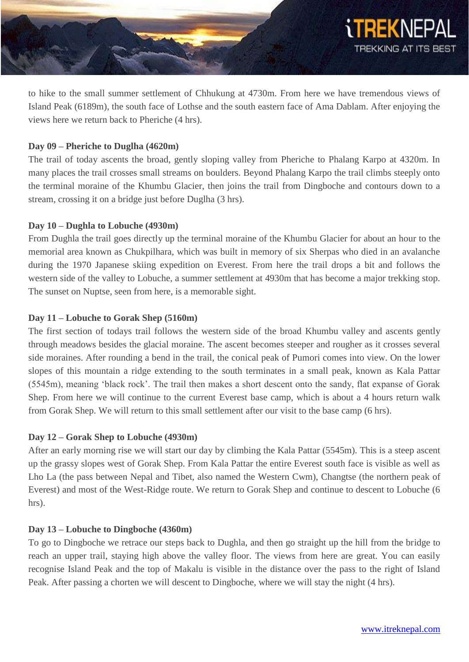

to hike to the small summer settlement of Chhukung at 4730m. From here we have tremendous views of Island Peak (6189m), the south face of Lothse and the south eastern face of Ama Dablam. After enjoying the views here we return back to Pheriche (4 hrs).

# **Day 09 – Pheriche to Duglha (4620m)**

The trail of today ascents the broad, gently sloping valley from Pheriche to Phalang Karpo at 4320m. In many places the trail crosses small streams on boulders. Beyond Phalang Karpo the trail climbs steeply onto the terminal moraine of the Khumbu Glacier, then joins the trail from Dingboche and contours down to a stream, crossing it on a bridge just before Duglha (3 hrs).

#### **Day 10 – Dughla to Lobuche (4930m)**

From Dughla the trail goes directly up the terminal moraine of the Khumbu Glacier for about an hour to the memorial area known as Chukpilhara, which was built in memory of six Sherpas who died in an avalanche during the 1970 Japanese skiing expedition on Everest. From here the trail drops a bit and follows the western side of the valley to Lobuche, a summer settlement at 4930m that has become a major trekking stop. The sunset on Nuptse, seen from here, is a memorable sight.

# **Day 11 – Lobuche to Gorak Shep (5160m)**

The first section of todays trail follows the western side of the broad Khumbu valley and ascents gently through meadows besides the glacial moraine. The ascent becomes steeper and rougher as it crosses several side moraines. After rounding a bend in the trail, the conical peak of Pumori comes into view. On the lower slopes of this mountain a ridge extending to the south terminates in a small peak, known as Kala Pattar (5545m), meaning 'black rock'. The trail then makes a short descent onto the sandy, flat expanse of Gorak Shep. From here we will continue to the current Everest base camp, which is about a 4 hours return walk from Gorak Shep. We will return to this small settlement after our visit to the base camp (6 hrs).

# **Day 12 – Gorak Shep to Lobuche (4930m)**

After an early morning rise we will start our day by climbing the Kala Pattar (5545m). This is a steep ascent up the grassy slopes west of Gorak Shep. From Kala Pattar the entire Everest south face is visible as well as Lho La (the pass between Nepal and Tibet, also named the Western Cwm), Changtse (the northern peak of Everest) and most of the West-Ridge route. We return to Gorak Shep and continue to descent to Lobuche (6 hrs).

#### **Day 13 – Lobuche to Dingboche (4360m)**

To go to Dingboche we retrace our steps back to Dughla, and then go straight up the hill from the bridge to reach an upper trail, staying high above the valley floor. The views from here are great. You can easily recognise Island Peak and the top of Makalu is visible in the distance over the pass to the right of Island Peak. After passing a chorten we will descent to Dingboche, where we will stay the night (4 hrs).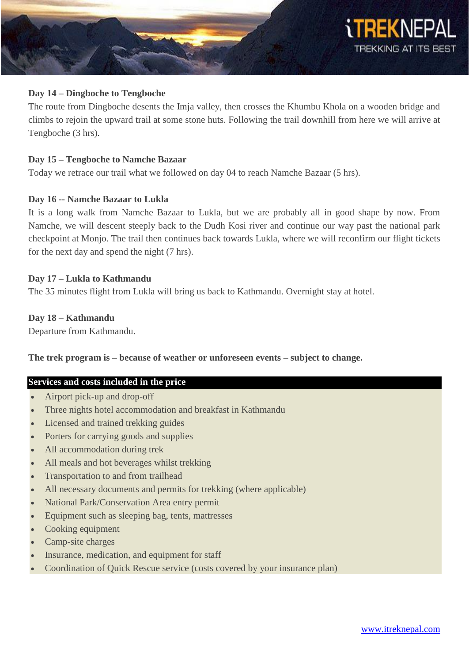

#### **Day 14 – Dingboche to Tengboche**

The route from Dingboche desents the Imja valley, then crosses the Khumbu Khola on a wooden bridge and climbs to rejoin the upward trail at some stone huts. Following the trail downhill from here we will arrive at Tengboche (3 hrs).

#### **Day 15 – Tengboche to Namche Bazaar**

Today we retrace our trail what we followed on day 04 to reach Namche Bazaar (5 hrs).

#### **Day 16 -- Namche Bazaar to Lukla**

It is a long walk from Namche Bazaar to Lukla, but we are probably all in good shape by now. From Namche, we will descent steeply back to the Dudh Kosi river and continue our way past the national park checkpoint at Monjo. The trail then continues back towards Lukla, where we will reconfirm our flight tickets for the next day and spend the night (7 hrs).

#### **Day 17 – Lukla to Kathmandu**

The 35 minutes flight from Lukla will bring us back to Kathmandu. Overnight stay at hotel.

#### **Day 18 – Kathmandu**

Departure from Kathmandu.

#### **The trek program is – because of weather or unforeseen events – subject to change.**

#### **Services and costs included in the price**

- Airport pick-up and drop-off
- Three nights hotel accommodation and breakfast in Kathmandu
- Licensed and trained trekking guides
- Porters for carrying goods and supplies
- All accommodation during trek
- All meals and hot beverages whilst trekking
- Transportation to and from trailhead
- All necessary documents and permits for trekking (where applicable)
- National Park/Conservation Area entry permit
- Equipment such as sleeping bag, tents, mattresses
- Cooking equipment
- Camp-site charges
- Insurance, medication, and equipment for staff
- Coordination of Quick Rescue service (costs covered by your insurance plan)